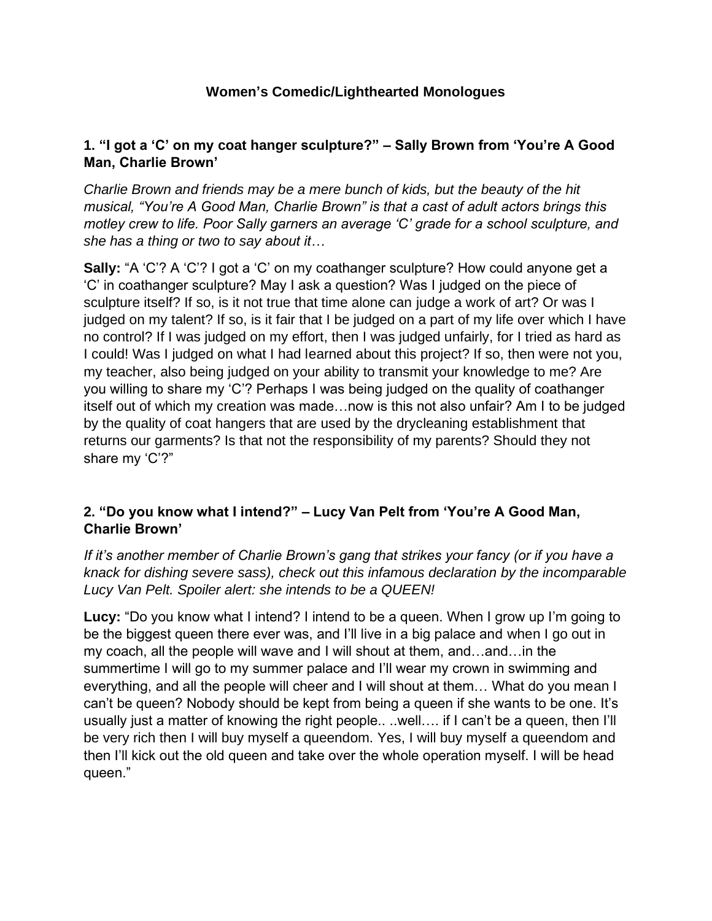## **Women's Comedic/Lighthearted Monologues**

## **1. "I got a 'C' on my coat hanger sculpture?" – Sally Brown from 'You're A Good Man, Charlie Brown'**

*Charlie Brown and friends may be a mere bunch of kids, but the beauty of the hit musical, "You're A Good Man, Charlie Brown" is that a cast of adult actors brings this motley crew to life. Poor Sally garners an average 'C' grade for a school sculpture, and she has a thing or two to say about it…*

**Sally:** "A 'C'? A 'C'? I got a 'C' on my coathanger sculpture? How could anyone get a 'C' in coathanger sculpture? May I ask a question? Was I judged on the piece of sculpture itself? If so, is it not true that time alone can judge a work of art? Or was I judged on my talent? If so, is it fair that I be judged on a part of my life over which I have no control? If I was judged on my effort, then I was judged unfairly, for I tried as hard as I could! Was I judged on what I had learned about this project? If so, then were not you, my teacher, also being judged on your ability to transmit your knowledge to me? Are you willing to share my 'C'? Perhaps I was being judged on the quality of coathanger itself out of which my creation was made…now is this not also unfair? Am I to be judged by the quality of coat hangers that are used by the drycleaning establishment that returns our garments? Is that not the responsibility of my parents? Should they not share my 'C'?"

## **2. "Do you know what I intend?" – Lucy Van Pelt from 'You're A Good Man, Charlie Brown'**

*If it's another member of Charlie Brown's gang that strikes your fancy (or if you have a knack for dishing severe sass), check out this infamous declaration by the incomparable Lucy Van Pelt. Spoiler alert: she intends to be a QUEEN!*

**Lucy:** "Do you know what I intend? I intend to be a queen. When I grow up I'm going to be the biggest queen there ever was, and I'll live in a big palace and when I go out in my coach, all the people will wave and I will shout at them, and…and…in the summertime I will go to my summer palace and I'll wear my crown in swimming and everything, and all the people will cheer and I will shout at them… What do you mean I can't be queen? Nobody should be kept from being a queen if she wants to be one. It's usually just a matter of knowing the right people.. ..well…. if I can't be a queen, then I'll be very rich then I will buy myself a queendom. Yes, I will buy myself a queendom and then I'll kick out the old queen and take over the whole operation myself. I will be head queen."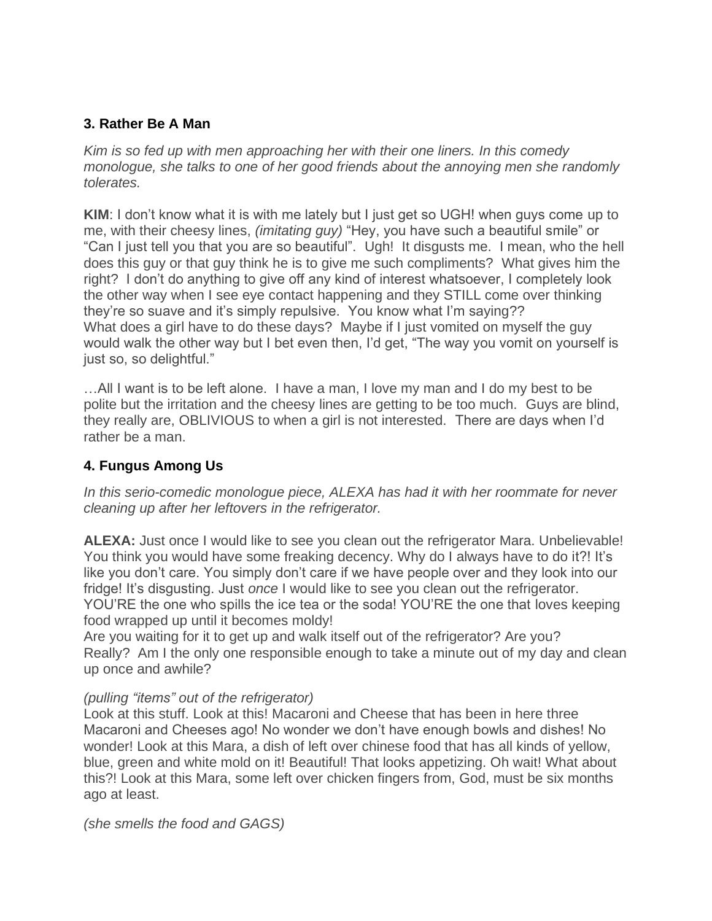## **3. Rather Be A Man**

*Kim is so fed up with men approaching her with their one liners. In this comedy monologue, she talks to one of her good friends about the annoying men she randomly tolerates.*

**KIM**: I don't know what it is with me lately but I just get so UGH! when guys come up to me, with their cheesy lines, *(imitating guy)* "Hey, you have such a beautiful smile" or "Can I just tell you that you are so beautiful". Ugh! It disgusts me. I mean, who the hell does this guy or that guy think he is to give me such compliments? What gives him the right? I don't do anything to give off any kind of interest whatsoever, I completely look the other way when I see eye contact happening and they STILL come over thinking they're so suave and it's simply repulsive. You know what I'm saying?? What does a girl have to do these days? Maybe if I just vomited on myself the guy would walk the other way but I bet even then, I'd get, "The way you vomit on yourself is just so, so delightful."

…All I want is to be left alone. I have a man, I love my man and I do my best to be polite but the irritation and the cheesy lines are getting to be too much. Guys are blind, they really are, OBLIVIOUS to when a girl is not interested. There are days when I'd rather be a man.

## **4. Fungus Among Us**

*In this serio-comedic monologue piece, ALEXA has had it with her roommate for never cleaning up after her leftovers in the refrigerator.*

**ALEXA:** Just once I would like to see you clean out the refrigerator Mara. Unbelievable! You think you would have some freaking decency. Why do I always have to do it?! It's like you don't care. You simply don't care if we have people over and they look into our fridge! It's disgusting. Just *once* I would like to see you clean out the refrigerator. YOU'RE the one who spills the ice tea or the soda! YOU'RE the one that loves keeping food wrapped up until it becomes moldy!

Are you waiting for it to get up and walk itself out of the refrigerator? Are you? Really? Am I the only one responsible enough to take a minute out of my day and clean up once and awhile?

#### *(pulling "items" out of the refrigerator)*

Look at this stuff. Look at this! Macaroni and Cheese that has been in here three Macaroni and Cheeses ago! No wonder we don't have enough bowls and dishes! No wonder! Look at this Mara, a dish of left over chinese food that has all kinds of yellow, blue, green and white mold on it! Beautiful! That looks appetizing. Oh wait! What about this?! Look at this Mara, some left over chicken fingers from, God, must be six months ago at least.

*(she smells the food and GAGS)*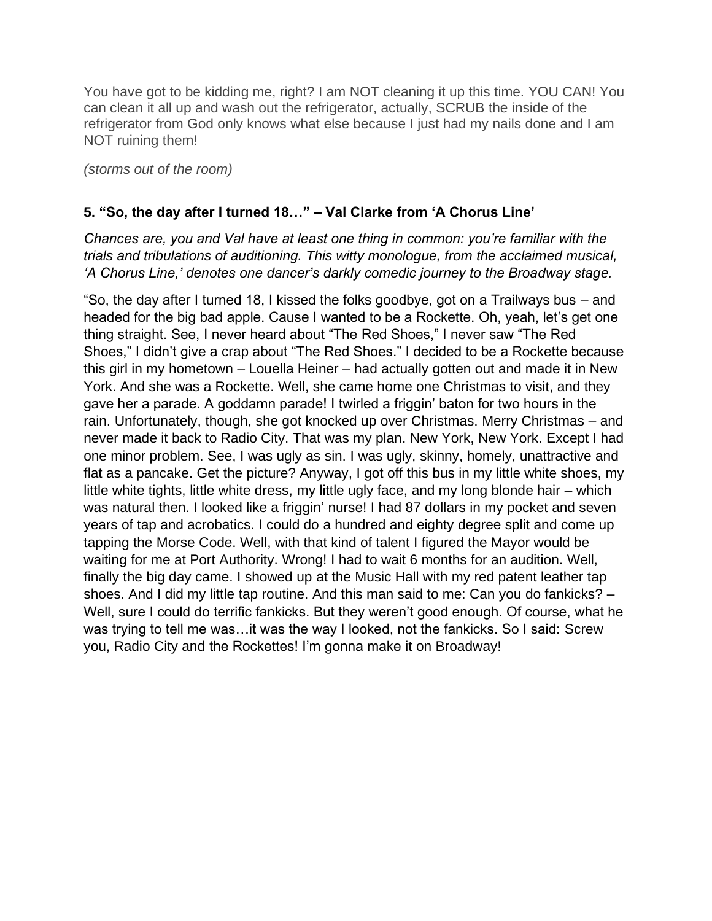You have got to be kidding me, right? I am NOT cleaning it up this time. YOU CAN! You can clean it all up and wash out the refrigerator, actually, SCRUB the inside of the refrigerator from God only knows what else because I just had my nails done and I am NOT ruining them!

*(storms out of the room)*

#### **5. "So, the day after I turned 18…" – Val Clarke from 'A Chorus Line'**

*Chances are, you and Val have at least one thing in common: you're familiar with the trials and tribulations of auditioning. This witty monologue, from the acclaimed musical, 'A Chorus Line,' denotes one dancer's darkly comedic journey to the Broadway stage.*

"So, the day after I turned 18, I kissed the folks goodbye, got on a Trailways bus – and headed for the big bad apple. Cause I wanted to be a Rockette. Oh, yeah, let's get one thing straight. See, I never heard about "The Red Shoes," I never saw "The Red Shoes," I didn't give a crap about "The Red Shoes." I decided to be a Rockette because this girl in my hometown – Louella Heiner – had actually gotten out and made it in New York. And she was a Rockette. Well, she came home one Christmas to visit, and they gave her a parade. A goddamn parade! I twirled a friggin' baton for two hours in the rain. Unfortunately, though, she got knocked up over Christmas. Merry Christmas – and never made it back to Radio City. That was my plan. New York, New York. Except I had one minor problem. See, I was ugly as sin. I was ugly, skinny, homely, unattractive and flat as a pancake. Get the picture? Anyway, I got off this bus in my little white shoes, my little white tights, little white dress, my little ugly face, and my long blonde hair – which was natural then. I looked like a friggin' nurse! I had 87 dollars in my pocket and seven years of tap and acrobatics. I could do a hundred and eighty degree split and come up tapping the Morse Code. Well, with that kind of talent I figured the Mayor would be waiting for me at Port Authority. Wrong! I had to wait 6 months for an audition. Well, finally the big day came. I showed up at the Music Hall with my red patent leather tap shoes. And I did my little tap routine. And this man said to me: Can you do fankicks? – Well, sure I could do terrific fankicks. But they weren't good enough. Of course, what he was trying to tell me was…it was the way I looked, not the fankicks. So I said: Screw you, Radio City and the Rockettes! I'm gonna make it on Broadway!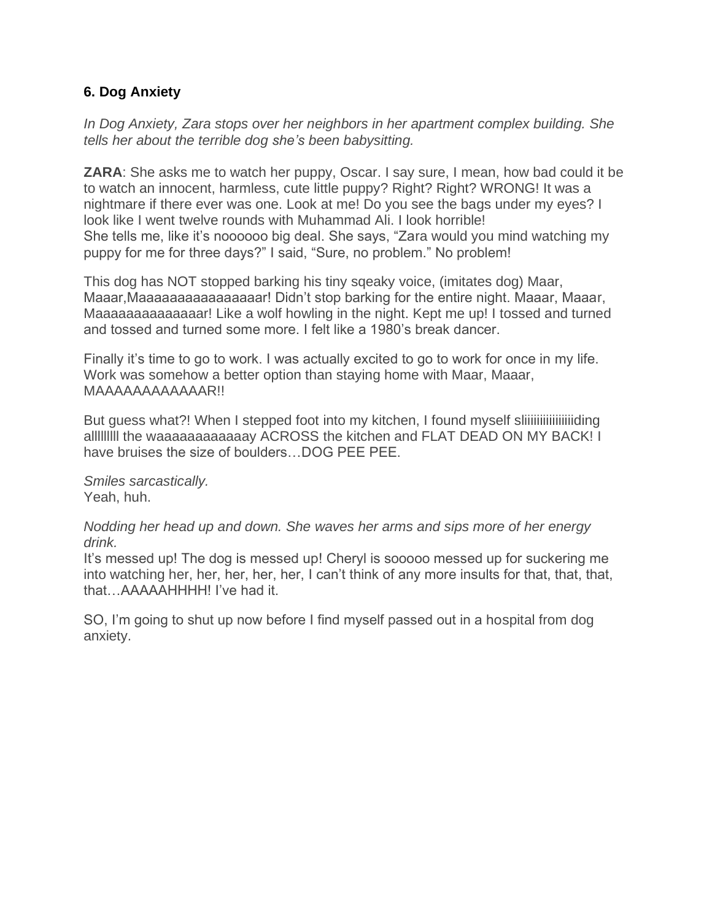# **6. Dog Anxiety**

*In Dog Anxiety, Zara stops over her neighbors in her apartment complex building. She tells her about the terrible dog she's been babysitting.*

**ZARA**: She asks me to watch her puppy, Oscar. I say sure, I mean, how bad could it be to watch an innocent, harmless, cute little puppy? Right? Right? WRONG! It was a nightmare if there ever was one. Look at me! Do you see the bags under my eyes? I look like I went twelve rounds with Muhammad Ali. I look horrible! She tells me, like it's noooooo big deal. She says, "Zara would you mind watching my puppy for me for three days?" I said, "Sure, no problem." No problem!

This dog has NOT stopped barking his tiny sqeaky voice, (imitates dog) Maar, Maaar,Maaaaaaaaaaaaaaaar! Didn't stop barking for the entire night. Maaar, Maaar, Maaaaaaaaaaaaaar! Like a wolf howling in the night. Kept me up! I tossed and turned and tossed and turned some more. I felt like a 1980's break dancer.

Finally it's time to go to work. I was actually excited to go to work for once in my life. Work was somehow a better option than staying home with Maar, Maaar, MAAAAAAAAAAAAR!!

But guess what?! When I stepped foot into my kitchen, I found myself sliiiiiiiiiiiiiiiiding alllllllll the waaaaaaaaaaaay ACROSS the kitchen and FLAT DEAD ON MY BACK! I have bruises the size of boulders…DOG PEE PEE.

*Smiles sarcastically.* Yeah, huh.

*Nodding her head up and down. She waves her arms and sips more of her energy drink.*

It's messed up! The dog is messed up! Cheryl is sooooo messed up for suckering me into watching her, her, her, her, her, I can't think of any more insults for that, that, that, that…AAAAAHHHH! I've had it.

SO, I'm going to shut up now before I find myself passed out in a hospital from dog anxiety.